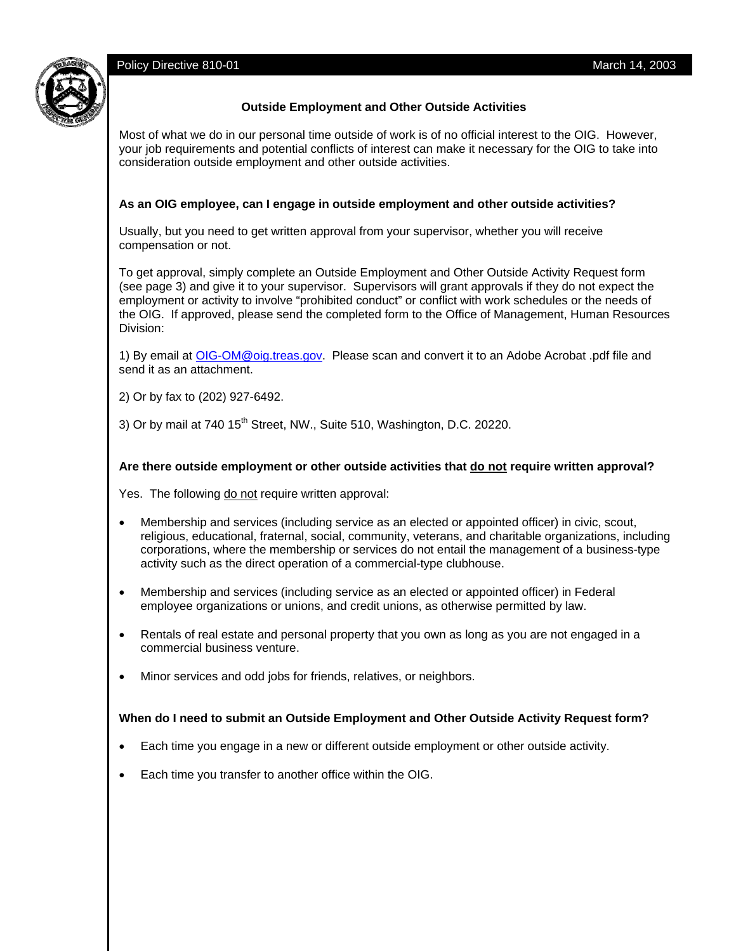Policy Directive 810-01 March 14, 2003



# **Outside Employment and Other Outside Activities**

Most of what we do in our personal time outside of work is of no official interest to the OIG. However, your job requirements and potential conflicts of interest can make it necessary for the OIG to take into consideration outside employment and other outside activities.

## **As an OIG employee, can I engage in outside employment and other outside activities?**

Usually, but you need to get written approval from your supervisor, whether you will receive compensation or not.

To get approval, simply complete an Outside Employment and Other Outside Activity Request form (see page 3) and give it to your supervisor. Supervisors will grant approvals if they do not expect the employment or activity to involve "prohibited conduct" or conflict with work schedules or the needs of the OIG. If approved, please send the completed form to the Office of Management, Human Resources Division:

1) By email at OIG-OM@oig.treas.gov. Please scan and convert it to an Adobe Acrobat .pdf file and send it as an attachment.

2) Or by fax to (202) 927-6492.

3) Or by mail at  $740\,15^{th}$  Street, NW., Suite 510, Washington, D.C. 20220.

# **Are there outside employment or other outside activities that do not require written approval?**

Yes. The following do not require written approval:

- Membership and services (including service as an elected or appointed officer) in civic, scout, religious, educational, fraternal, social, community, veterans, and charitable organizations, including corporations, where the membership or services do not entail the management of a business-type activity such as the direct operation of a commercial-type clubhouse.
- Membership and services (including service as an elected or appointed officer) in Federal employee organizations or unions, and credit unions, as otherwise permitted by law.
- Rentals of real estate and personal property that you own as long as you are not engaged in a commercial business venture.
- Minor services and odd jobs for friends, relatives, or neighbors.

## **When do I need to submit an Outside Employment and Other Outside Activity Request form?**

- Each time you engage in a new or different outside employment or other outside activity.
- Each time you transfer to another office within the OIG.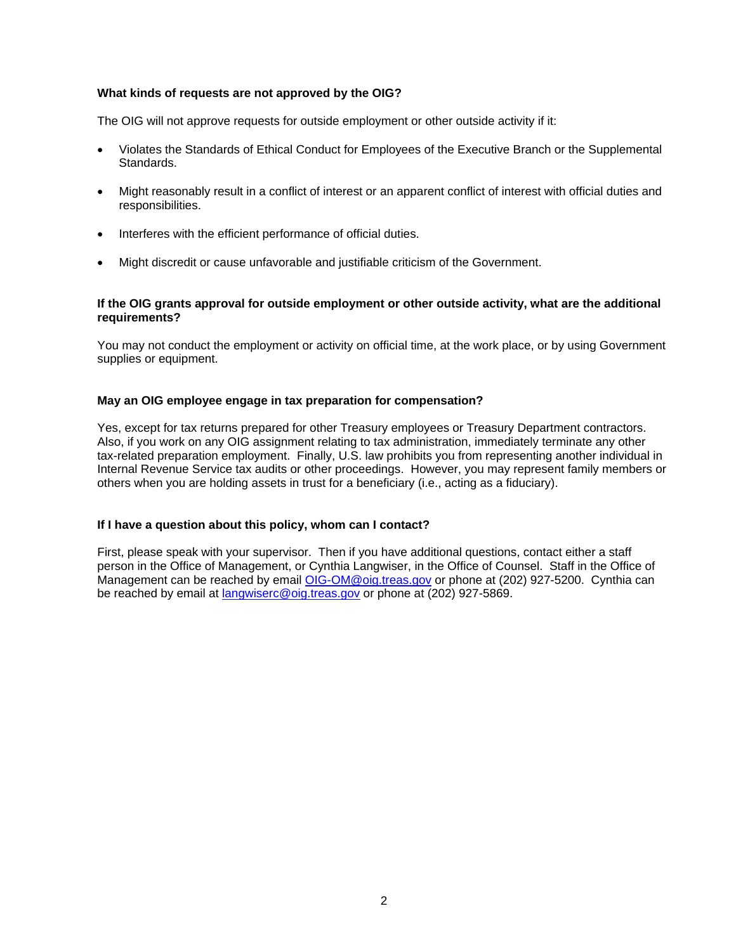### **What kinds of requests are not approved by the OIG?**

The OIG will not approve requests for outside employment or other outside activity if it:

- Violates the Standards of Ethical Conduct for Employees of the Executive Branch or the Supplemental Standards.
- Might reasonably result in a conflict of interest or an apparent conflict of interest with official duties and responsibilities.
- Interferes with the efficient performance of official duties.
- Might discredit or cause unfavorable and justifiable criticism of the Government.

### **If the OIG grants approval for outside employment or other outside activity, what are the additional requirements?**

You may not conduct the employment or activity on official time, at the work place, or by using Government supplies or equipment.

#### **May an OIG employee engage in tax preparation for compensation?**

Yes, except for tax returns prepared for other Treasury employees or Treasury Department contractors. Also, if you work on any OIG assignment relating to tax administration, immediately terminate any other tax-related preparation employment. Finally, U.S. law prohibits you from representing another individual in Internal Revenue Service tax audits or other proceedings. However, you may represent family members or others when you are holding assets in trust for a beneficiary (i.e., acting as a fiduciary).

#### **If I have a question about this policy, whom can I contact?**

First, please speak with your supervisor. Then if you have additional questions, contact either a staff person in the Office of Management, or Cynthia Langwiser, in the Office of Counsel. Staff in the Office of Management can be reached by email OIG-OM@oig.treas.gov or phone at (202) 927-5200. Cynthia can be reached by email at *langwiserc@oig.treas.gov* or phone at (202) 927-5869.